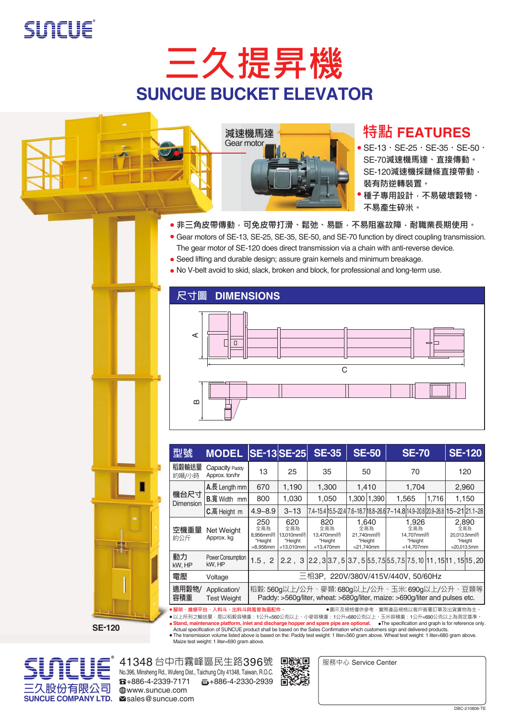







### **特點 FEATURES**

- $\bullet$  SE-13  $\cdot$  SE-25  $\cdot$  SE-35  $\cdot$  SE-50  $\cdot$ SE-70**減速機馬達、直接傳動。** SE-120**減速機採鏈條直接帶動, 裝有防逆轉裝置。**
- **種子專用設計,不易破壞穀物、 不易產生碎米。**
- ●非三角皮帶傳動,可免皮帶打滑、鬆弛、易斷,不易阻塞故障,耐職業長期使用。
- Gear motors of SE-13, SE-25, SE-35, SE-50, and SE-70 function by direct coupling transmission. The gear motor of SE-120 does direct transmission via a chain with anti-reverse device.
- Seed lifting and durable design; assure grain kernels and minimum breakage.
- No V-belt avoid to skid, slack, broken and block, for professional and long-term use.

#### **尺寸圖 DIMENSIONS**



| 型號                                                                                                                                       | <b>MODEL</b>                       | <b>SE-13 SE-25</b>                                                                                                          |                                                    | <b>SE-35</b>                                       | <b>SE-50</b>                                          | <b>SE-70</b>                                                                     | <b>SE-120</b>                                            |  |  |  |  |  |  |
|------------------------------------------------------------------------------------------------------------------------------------------|------------------------------------|-----------------------------------------------------------------------------------------------------------------------------|----------------------------------------------------|----------------------------------------------------|-------------------------------------------------------|----------------------------------------------------------------------------------|----------------------------------------------------------|--|--|--|--|--|--|
| 稻穀輸送量<br>約噸/小時                                                                                                                           | Capacity Paddy<br>Approx. ton/hr   | 13                                                                                                                          | 25                                                 | 35                                                 | 50                                                    | 70                                                                               | 120                                                      |  |  |  |  |  |  |
| 機台尺寸<br><b>Dimension</b>                                                                                                                 | $A.E.$ Length mm                   | 670                                                                                                                         | 1,190                                              | 1,300                                              | 1,410                                                 | 1,704                                                                            | 2,960                                                    |  |  |  |  |  |  |
|                                                                                                                                          | B.寬 Width mm                       | 800                                                                                                                         | 1.030                                              | 1.050                                              | 1,300 1,390                                           | 1.716<br>1,565                                                                   | 1,150                                                    |  |  |  |  |  |  |
|                                                                                                                                          | C.高 Height m                       | $4.9 - 8.9$                                                                                                                 | $3 - 13$                                           |                                                    |                                                       | l7.4~15.4l15.5~22.4l7.6~18.7l18.8~26.6l7~14.8l14.9~20.8l20.9~26.8l15~21l21.1~28l |                                                          |  |  |  |  |  |  |
| 空機重量<br>約公斤                                                                                                                              | Net Weight<br>Approx. kg           | 250<br>全高為<br>8.956mm時<br>*Height<br>$= 8.956$ mm                                                                           | 620<br>全高為<br>13.010mm時<br>*Height<br>$=13.010$ mm | 820<br>全高為<br>13.470mm時<br>*Height<br>$=13.470$ mm | 1.640<br>全高為<br>21.740mm時<br>*Height<br>$= 21.740$ mm | 1.926<br>全高為<br>14.707mm時<br>*Height<br>$=14.707$ mm                             | 2,890<br>全高為<br>20.013.5mm時<br>*Height<br>$=20.013.5$ mm |  |  |  |  |  |  |
| 動力<br>kW, HP                                                                                                                             | Power Consumption<br>kW. HP        | 1.5, 2                                                                                                                      |                                                    |                                                    |                                                       | 2.2, 3 2.2, 3 3.7, 5 3.7, 5 5.5, 7.5 5.5, 7.5 7.5, 10 11, 15 11, 15 15, 20       |                                                          |  |  |  |  |  |  |
| 雷壓                                                                                                                                       | Voltage                            | 三相3P, 220V/380V/415V/440V, 50/60Hz                                                                                          |                                                    |                                                    |                                                       |                                                                                  |                                                          |  |  |  |  |  |  |
| 適用穀物/<br>容積重                                                                                                                             | Application/<br><b>Test Weight</b> | 稻穀: 560g以上/公升、麥類: 680g以上/公升、玉米: 690g以上/公升、豆類等<br>Paddy: >560g/liter, wheat: >680g/liter, maize: >690g/liter and pulses etc. |                                                    |                                                    |                                                       |                                                                                  |                                                          |  |  |  |  |  |  |
| ● 腳架、維修平台、入料斗、出料斗與風管為選配件。<br>●圖示及規格僅供參考‧實際產品規格以客戶簽署訂單及出貨實物為主。<br>●以上所列之輸送量‧是以稻穀容積重:1公升=560公克以上、小麥容積重:1公升=680公克以上、玉米容積重:1公升=690公克以上為測定基準。 |                                    |                                                                                                                             |                                                    |                                                    |                                                       |                                                                                  |                                                          |  |  |  |  |  |  |

**SE-120**

以上所列之輸送量 · 是以稻穀容積重:1公升=560公克以上、小麥容積重:1公升=680公克以上、玉米容積重:1公升=690公克以上為測定基準 ·<br>**Stand, maintenance platform, inlet and discharge hopper and spare pipe are optional. ●The specification and graph is for reference only.<br>Actua** Maize test weight: 1 liter=690 gram above.



No.396, Minsheng Rd., Wufeng Dist., Taichung City 41348, Taiwan, R.O.C. 41348 台中市霧峰區民生路396號  $\overline{13}$ +886-4-2339-7171  $\overline{5}$ +886-4-2330-2939 ⊕www.suncue.com<br>**Mandes**@suncue.com



服務中心 Service Center